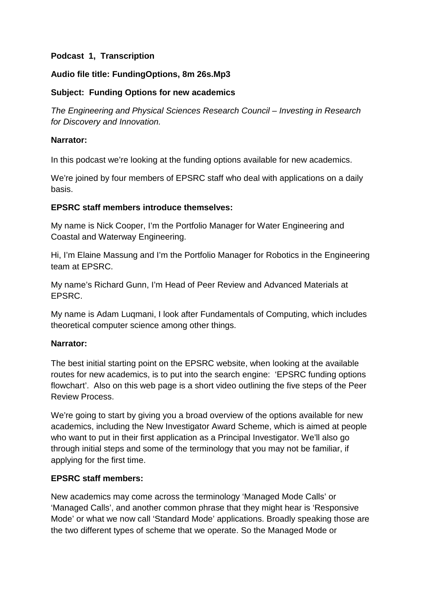# **Podcast 1, Transcription**

# **Audio file title: FundingOptions, 8m 26s.Mp3**

## **Subject: Funding Options for new academics**

*The Engineering and Physical Sciences Research Council – Investing in Research for Discovery and Innovation.* 

#### **Narrator:**

In this podcast we're looking at the funding options available for new academics.

We're joined by four members of EPSRC staff who deal with applications on a daily basis.

## **EPSRC staff members introduce themselves:**

My name is Nick Cooper, I'm the Portfolio Manager for Water Engineering and Coastal and Waterway Engineering.

Hi, I'm Elaine Massung and I'm the Portfolio Manager for Robotics in the Engineering team at EPSRC.

My name's Richard Gunn, I'm Head of Peer Review and Advanced Materials at EPSRC.

My name is Adam Luqmani, I look after Fundamentals of Computing, which includes theoretical computer science among other things.

## **Narrator:**

The best initial starting point on the EPSRC website, when looking at the available routes for new academics, is to put into the search engine: 'EPSRC funding options flowchart'. Also on this web page is a short video outlining the five steps of the Peer Review Process.

We're going to start by giving you a broad overview of the options available for new academics, including the New Investigator Award Scheme, which is aimed at people who want to put in their first application as a Principal Investigator. We'll also go through initial steps and some of the terminology that you may not be familiar, if applying for the first time.

## **EPSRC staff members:**

New academics may come across the terminology 'Managed Mode Calls' or 'Managed Calls', and another common phrase that they might hear is 'Responsive Mode' or what we now call 'Standard Mode' applications. Broadly speaking those are the two different types of scheme that we operate. So the Managed Mode or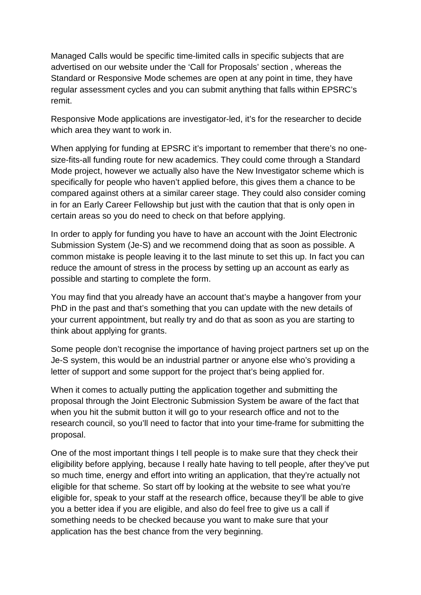Managed Calls would be specific time-limited calls in specific subjects that are advertised on our website under the 'Call for Proposals' section , whereas the Standard or Responsive Mode schemes are open at any point in time, they have regular assessment cycles and you can submit anything that falls within EPSRC's remit.

Responsive Mode applications are investigator-led, it's for the researcher to decide which area they want to work in.

When applying for funding at EPSRC it's important to remember that there's no onesize-fits-all funding route for new academics. They could come through a Standard Mode project, however we actually also have the New Investigator scheme which is specifically for people who haven't applied before, this gives them a chance to be compared against others at a similar career stage. They could also consider coming in for an Early Career Fellowship but just with the caution that that is only open in certain areas so you do need to check on that before applying.

In order to apply for funding you have to have an account with the Joint Electronic Submission System (Je-S) and we recommend doing that as soon as possible. A common mistake is people leaving it to the last minute to set this up. In fact you can reduce the amount of stress in the process by setting up an account as early as possible and starting to complete the form.

You may find that you already have an account that's maybe a hangover from your PhD in the past and that's something that you can update with the new details of your current appointment, but really try and do that as soon as you are starting to think about applying for grants.

Some people don't recognise the importance of having project partners set up on the Je-S system, this would be an industrial partner or anyone else who's providing a letter of support and some support for the project that's being applied for.

When it comes to actually putting the application together and submitting the proposal through the Joint Electronic Submission System be aware of the fact that when you hit the submit button it will go to your research office and not to the research council, so you'll need to factor that into your time-frame for submitting the proposal.

One of the most important things I tell people is to make sure that they check their eligibility before applying, because I really hate having to tell people, after they've put so much time, energy and effort into writing an application, that they're actually not eligible for that scheme. So start off by looking at the website to see what you're eligible for, speak to your staff at the research office, because they'll be able to give you a better idea if you are eligible, and also do feel free to give us a call if something needs to be checked because you want to make sure that your application has the best chance from the very beginning.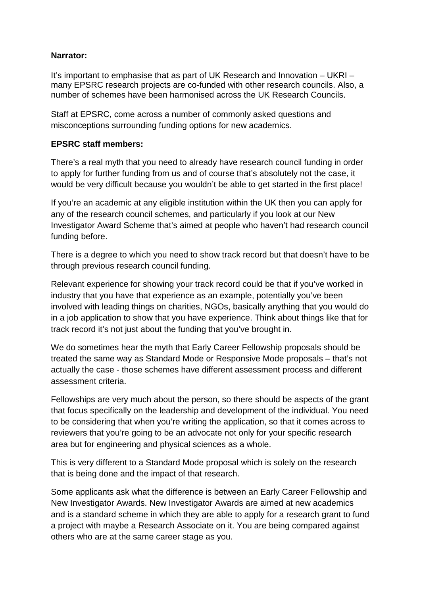## **Narrator:**

It's important to emphasise that as part of UK Research and Innovation – UKRI – many EPSRC research projects are co-funded with other research councils. Also, a number of schemes have been harmonised across the UK Research Councils.

Staff at EPSRC, come across a number of commonly asked questions and misconceptions surrounding funding options for new academics.

#### **EPSRC staff members:**

There's a real myth that you need to already have research council funding in order to apply for further funding from us and of course that's absolutely not the case, it would be very difficult because you wouldn't be able to get started in the first place!

If you're an academic at any eligible institution within the UK then you can apply for any of the research council schemes, and particularly if you look at our New Investigator Award Scheme that's aimed at people who haven't had research council funding before.

There is a degree to which you need to show track record but that doesn't have to be through previous research council funding.

Relevant experience for showing your track record could be that if you've worked in industry that you have that experience as an example, potentially you've been involved with leading things on charities, NGOs, basically anything that you would do in a job application to show that you have experience. Think about things like that for track record it's not just about the funding that you've brought in.

We do sometimes hear the myth that Early Career Fellowship proposals should be treated the same way as Standard Mode or Responsive Mode proposals – that's not actually the case - those schemes have different assessment process and different assessment criteria.

Fellowships are very much about the person, so there should be aspects of the grant that focus specifically on the leadership and development of the individual. You need to be considering that when you're writing the application, so that it comes across to reviewers that you're going to be an advocate not only for your specific research area but for engineering and physical sciences as a whole.

This is very different to a Standard Mode proposal which is solely on the research that is being done and the impact of that research.

Some applicants ask what the difference is between an Early Career Fellowship and New Investigator Awards. New Investigator Awards are aimed at new academics and is a standard scheme in which they are able to apply for a research grant to fund a project with maybe a Research Associate on it. You are being compared against others who are at the same career stage as you.